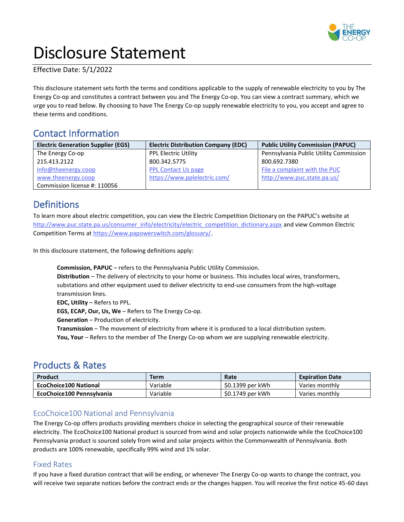

# Disclosure Statement

Effective Date: 5/1/2022

This disclosure statement sets forth the terms and conditions applicable to the supply of renewable electricity to you by The Energy Co-op and constitutes a contract between you and The Energy Co-op. You can view a contract summary, which we urge you to read below. By choosing to have The Energy Co-op supply renewable electricity to you, you accept and agree to these terms and conditions.

# Contact Information

| <b>Electric Generation Supplier (EGS)</b> | <b>Electric Distribution Company (EDC)</b> | <b>Public Utility Commission (PAPUC)</b> |
|-------------------------------------------|--------------------------------------------|------------------------------------------|
| The Energy Co-op                          | <b>PPL Electric Utility</b>                | Pennsylvania Public Utility Commission   |
| 215.413.2122                              | 800.342.5775                               | 800.692.7380                             |
| info@theenergy.coop                       | <b>PPL Contact Us page</b>                 | File a complaint with the PUC            |
| www.theenergy.coop                        | https://www.pplelectric.com/               | http://www.puc.state.pa.us/              |
| Commission license #: 110056              |                                            |                                          |

## **Definitions**

To learn more about electric competition, you can view the Electric Competition Dictionary on the PAPUC's website at [http://www.puc.state.pa.us/consumer\\_info/electricity/electric\\_competition\\_dictionary.aspx](http://www.puc.state.pa.us/consumer_info/electricity/electric_competition_dictionary.aspx) and view Common Electric Competition Terms at [https://www.papowerswitch.com/glossary/.](https://www.papowerswitch.com/glossary/)

In this disclosure statement, the following definitions apply:

**Commission, PAPUC** – refers to the Pennsylvania Public Utility Commission. **Distribution** – The delivery of electricity to your home or business. This includes local wires, transformers, substations and other equipment used to deliver electricity to end-use consumers from the high-voltage transmission lines.

**EDC, Utility** – Refers to PPL.

**EGS, ECAP, Our, Us, We** – Refers to The Energy Co-op.

**Generation** – Production of electricity.

**Transmission** – The movement of electricity from where it is produced to a local distribution system.

**You, Your** – Refers to the member of The Energy Co-op whom we are supplying renewable electricity.

## Products & Rates

| Product                      | <b>Term</b> | Rate             | <b>Expiration Date</b> |
|------------------------------|-------------|------------------|------------------------|
| <b>EcoChoice100 National</b> | Variable    | \$0.1399 per kWh | Varies monthly         |
| EcoChoice100 Pennsylvania    | Variable    | \$0.1749 per kWh | Varies monthly         |

## EcoChoice100 National and Pennsylvania

The Energy Co-op offers products providing members choice in selecting the geographical source of their renewable electricity. The EcoChoice100 National product is sourced from wind and solar projects nationwide while the EcoChoice100 Pennsylvania product is sourced solely from wind and solar projects within the Commonwealth of Pennsylvania. Both products are 100% renewable, specifically 99% wind and 1% solar.

## Fixed Rates

If you have a fixed duration contract that will be ending, or whenever The Energy Co-op wants to change the contract, you will receive two separate notices before the contract ends or the changes happen. You will receive the first notice 45-60 days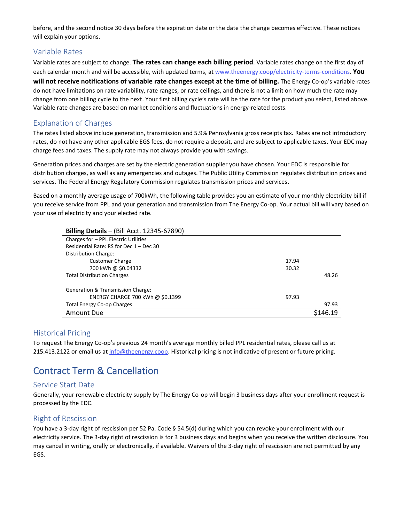before, and the second notice 30 days before the expiration date or the date the change becomes effective. These notices will explain your options.

#### Variable Rates

Variable rates are subject to change. **The rates can change each billing period**. Variable rates change on the first day of each calendar month and will be accessible, with updated terms, at [www.theenergy.coop/electricity-terms-conditions.](http://www.theenergy.coop/electricity-terms-conditions) **You will not receive notifications of variable rate changes except at the time of billing.** The Energy Co-op's variable rates do not have limitations on rate variability, rate ranges, or rate ceilings, and there is not a limit on how much the rate may change from one billing cycle to the next. Your first billing cycle's rate will be the rate for the product you select, listed above. Variable rate changes are based on market conditions and fluctuations in energy-related costs.

#### Explanation of Charges

The rates listed above include generation, transmission and 5.9% Pennsylvania gross receipts tax. Rates are not introductory rates, do not have any other applicable EGS fees, do not require a deposit, and are subject to applicable taxes. Your EDC may charge fees and taxes. The supply rate may not always provide you with savings.

Generation prices and charges are set by the electric generation supplier you have chosen. Your EDC is responsible for distribution charges, as well as any emergencies and outages. The Public Utility Commission regulates distribution prices and services. The Federal Energy Regulatory Commission regulates transmission prices and services.

Based on a monthly average usage of 700kWh, the following table provides you an estimate of your monthly electricity bill if you receive service from PPL and your generation and transmission from The Energy Co-op. Your actual bill will vary based on your use of electricity and your elected rate.

| <b>Billing Details - (Bill Acct. 12345-67890)</b> |       |       |
|---------------------------------------------------|-------|-------|
| Charges for - PPL Electric Utilities              |       |       |
| Residential Rate: RS for Dec 1 - Dec 30           |       |       |
| Distribution Charge:                              |       |       |
| <b>Customer Charge</b>                            | 17.94 |       |
| 700 kWh @ \$0.04332                               | 30.32 |       |
| <b>Total Distribution Charges</b>                 |       | 48.26 |
| Generation & Transmission Charge:                 |       |       |
| ENERGY CHARGE 700 kWh @ \$0.1399                  | 97.93 |       |
| <b>Total Energy Co-op Charges</b>                 |       | 97.93 |
| Amount Due                                        |       |       |

#### Historical Pricing

To request The Energy Co-op's previous 24 month's average monthly billed PPL residential rates, please call us at 215.413.2122 or email us at [info@theenergy.coop.](mailto:info@theenergy.coop) Historical pricing is not indicative of present or future pricing.

# Contract Term & Cancellation

#### Service Start Date

Generally, your renewable electricity supply by The Energy Co-op will begin 3 business days after your enrollment request is processed by the EDC.

#### Right of Rescission

You have a 3-day right of rescission per 52 Pa. Code § 54.5(d) during which you can revoke your enrollment with our electricity service. The 3-day right of rescission is for 3 business days and begins when you receive the written disclosure. You may cancel in writing, orally or electronically, if available. Waivers of the 3-day right of rescission are not permitted by any EGS.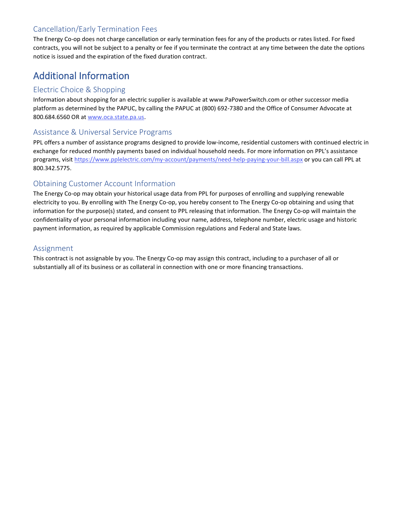## Cancellation/Early Termination Fees

The Energy Co-op does not charge cancellation or early termination fees for any of the products or rates listed. For fixed contracts, you will not be subject to a penalty or fee if you terminate the contract at any time between the date the options notice is issued and the expiration of the fixed duration contract.

# Additional Information

## Electric Choice & Shopping

Information about shopping for an electric supplier is available at www.PaPowerSwitch.com or other successor media platform as determined by the PAPUC, by calling the PAPUC at (800) 692-7380 and the Office of Consumer Advocate at 800.684.6560 OR at [www.oca.state.pa.us.](http://www.oca.state.pa.us/)

#### Assistance & Universal Service Programs

PPL offers a number of assistance programs designed to provide low-income, residential customers with continued electric in exchange for reduced monthly payments based on individual household needs. For more information on PPL's assistance programs, visi[t https://www.pplelectric.com/my-account/payments/need-help-paying-your-bill.aspx](https://www.pplelectric.com/my-account/payments/need-help-paying-your-bill.aspx) or you can call PPL at 800.342.5775.

## Obtaining Customer Account Information

The Energy Co-op may obtain your historical usage data from PPL for purposes of enrolling and supplying renewable electricity to you. By enrolling with The Energy Co-op, you hereby consent to The Energy Co-op obtaining and using that information for the purpose(s) stated, and consent to PPL releasing that information. The Energy Co-op will maintain the confidentiality of your personal information including your name, address, telephone number, electric usage and historic payment information, as required by applicable Commission regulations and Federal and State laws.

## Assignment

This contract is not assignable by you. The Energy Co-op may assign this contract, including to a purchaser of all or substantially all of its business or as collateral in connection with one or more financing transactions.